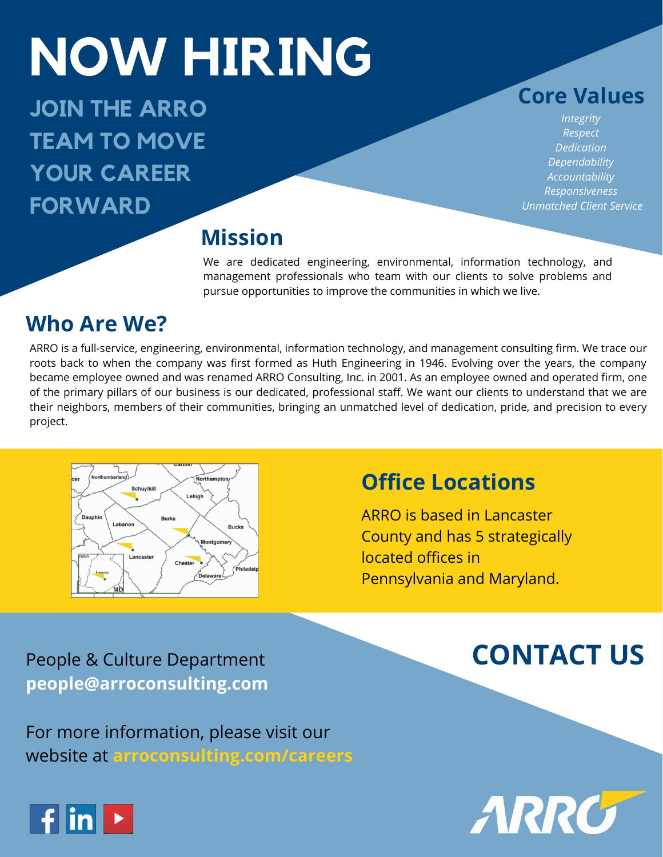## **NOW HIRING!** IN U VV FIL **NOW HIRING**

**JOIN THE ARRO TEAM TO MOVE YOUR CAREER FORWARD**

**Core Values**

*Integrity Respect Dedication Dependability Accountability Responsiveness Unmatched Client Service*

### **Mission**

We are dedicated engineering, environmental, information technology, and management professionals who team with our clients to solve problems and pursue opportunities to improve the communities in which we live.

### **Who Are We?**

ARRO is a full-service, engineering, environmental, information technology, and management consulting firm. We trace our roots back to when the company was first formed as Huth Engineering in 1946. Evolving over the years, the company became employee owned and was renamed ARRO Consulting, Inc. in 2001. As an employee owned and operated firm, one of the primary pillars of our business is our dedicated, professional staff. We want our clients to understand that we are their neighbors, members of their communities, bringing an unmatched level of dedication, pride, and precision to every project.



## **Office Locations**

ARRO is based in Lancaster County and has 5 strategically located offices in Pennsylvania and Maryland.

### People & Culture Department **CONTACT US people@arroconsulting.com**

For more information, please visit our website at **arroconsulting.com/careers**